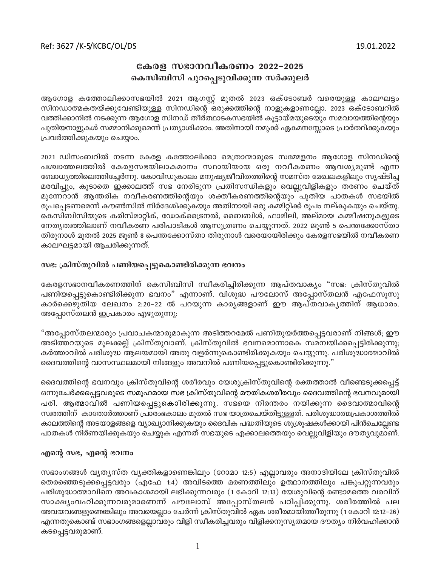## കേരള സഭാനവീകരണം 2022-2025 കെസിബിസി പുറപ്പെടുവിക്കുന്ന സർക്കുലർ

ആഗോള കത്തോലിക്കാസഭയിൽ 2021 ആഗസ്റ്റ് മുതൽ 2023 ഒക്ടോബർ വരെയുള്ള കാലഘട്ടം സിനഡാത്മകതയ്ക്കുവേണ്ടിയുള്ള സിനഡിന്റെ ഒരുക്കത്തിന്റെ നാളുകളാണല്ലോ. 2023 ഒക്ടോബറിൽ വത്തിക്കാനിൽ നടക്കുന്ന ആഗോള സിനഡ് തീർത്ഥാടകസഭയിൽ കൂട്ടായ്മയുടെയും സമവായത്തിന്റെയും പുതിയനാളുകൾ സമ്മാനിക്കുമെന്ന് പ്രത്യാശിക്കാം. അതിനായി നമുക്ക് ഏകമനസ്സോടെ പ്രാർത്ഥിക്കുകയും പ്രവർത്തിക്കുകയും ചെയ്യാം.

2021 ഡിസംബറിൽ നടന്ന കേരള കത്തോലിക്കാ മെത്രാന്മാരുടെ സമ്മേളനം ആഗോള സിനഡിന്റെ പശ്ചാത്തലത്തിൽ കേരളസഭയിലാകമാനം സ്ഥായിയായ ഒരു നവീകരണം ആവശ്യമുണ്ട് എന്ന ബോധ്യത്തിലെത്തിച്ചേർന്നു. കോവിഡുകാലം മനുഷ്യജീവിതത്തിന്റെ സമസ്ത മേഖലകളിലും സൃഷ്ടിച്ച മരവിപ്പും, കൂടാതെ ഇക്കാലത്ത് സഭ നേരിടുന്ന പ്രതിസന്ധികളും വെല്ലുവിളികളും തരണം ചെയ്ത് മുന്നേറാൻ ആന്തരിക നവീകരണത്തിന്റെയും ശക്തീകരണത്തിന്റെയും പുതിയ പാതകൾ സഭയിൽ രൂപപ്പെടണമെന്ന് കൗൺസിൽ നിർദേശിക്കുകയും അതിനായി ഒരു കമ്മിറ്റിക്ക് രൂപം നല്കുകയും ചെയ്തു. കെസിബിസിയുടെ കരിസ്മാറ്റിക്, ഡോക്ട്രൈനൽ, ബൈബിൾ, ഫാമിലി, അല്മായ കമ്മീഷനുകളുടെ നേതൃത്വത്തിലാണ് നവീകരണ പരിപാടികൾ ആസൂത്രണം ചെയ്യുന്നത്. 2022 ജൂൺ 5 പെന്തക്കോസ്താ തിരുനാൾ മുതൽ 2025 ജൂൺ 8 പെന്തക്കോസ്താ തിരുനാൾ വരെയായിരിക്കും കേരളസഭയിൽ നവീകരണ കാലഘട്ടമായി ആചരിക്കുന്നത്.

## സഭ: ക്രിസ്തുവിൽ പണിയപ്പെട്ടുകൊണ്ടിരിക്കുന്ന ഭവനം

കേരളസഭാനവീകരണത്തിന് കെസിബിസി സ്വീകരിച്ചിരിക്കുന്ന ആപ്തവാക്യം "സഭ: ക്രിസ്തുവിൽ പണിയപ്പെട്ടുകൊണ്ടിരിക്കുന്ന ഭവനം" എന്നാണ്. വിശുദ്ധ പൗലോസ് അപ്പോസ്തലൻ എഫേസൂസു കാർക്കെഴുതിയ ലേഖനം 2:20–22 ൽ പറയുന്ന കാരൃങ്ങളാണ് ഈ ആപ്തവാകൃത്തിന് ആധാരം. അപ്പോസ്തലൻ ഇപ്രകാരം എഴുതുന്നു:

"അപ്പോസ്തലന്മാരും പ്രവാചകന്മാരുമാകുന്ന അടിത്തറമേൽ പണിതുയർത്തപ്പെട്ടവരാണ് നിങ്ങൾ; ഈ അടിത്തറയുടെ മൂലക്കല്ല് ക്രിസ്തുവാണ്. ക്രിസ്തുവിൽ ഭവനമൊന്നാകെ സമന്വയിക്കപ്പെട്ടിരിക്കുന്നു; കർത്താവിൽ പരിശുദ്ധ ആലയമായി അതു വളർന്നുകൊണ്ടിരിക്കുകയും ചെയ്യുന്നു. പരിശുദ്ധാത്മാവിൽ ദൈവത്തിന്റെ വാസസ്ഥലമായി നിങ്ങളും അവനിൽ പണിയപ്പെട്ടുകൊണ്ടിരിക്കുന്നു."

ദൈവത്തിന്റെ ഭവനവും ക്രിസ്തുവിന്റെ ശരീരവും യേശുക്രിസ്തുവിന്റെ രക്തത്താൽ വീണ്ടെടുക്കപ്പെട്ട് ഒന്നുചേർക്കപ്പെട്ടവരുടെ സമൂഹമായ സഭ ക്രിസ്തുവിന്റെ മൗതികശരീരവും ദൈവത്തിന്റെ ഭവനവുമായി പരി. ആത്മാവിൽ പണിയപ്പെട്ടുകൊിരിക്കുന്നു. സഭയെ നിരന്തരം നയിക്കുന്ന ദൈവാത്മാവിന്റെ സ്വരത്തിന് കാതോർത്താണ് പ്രാരംഭകാലം മുതൽ സഭ യാത്രചെയ്തിട്ടുള്ളത്. പരിശുദ്ധാത്മപ്രകാശത്തിൽ കാലത്തിന്റെ അടയാളങ്ങളെ വ്യാഖ്യാനിക്കുകയും ദൈവിക പദ്ധതിയുടെ ശുശ്രൂഷകൾക്കായി പിൻചെല്ലേണ്ട പാതകൾ നിർണയിക്കുകയും ചെയ്യുക എന്നത് സഭയുടെ എക്കാലത്തെയും വെല്ലുവിളിയും ദൗത്യവുമാണ്.

## എന്റെ സഭ, എന്റെ ഭവനം

സഭാംഗങ്ങൾ വ്യത്യസ്ത വ്യക്തികളാണെങ്കിലും (റോമാ 12:5) എല്ലാവരും അനാദിയിലേ ക്രിസ്തുവിൽ തെരഞ്ഞെടുക്കപ്പെട്ടവരും (എഫേ 1:4) അവിടത്തെ മരണത്തിലും ഉത്ഥാനത്തിലും പങ്കുപറ്റുന്നവരും പരിശുദ്ധാത്മാവിനെ അവകാശമായി ലഭിക്കുന്നവരും (1 കോറി 12:13) യേശുവിന്റെ രണ്ടാമത്തെ വരവിന് സാക്ഷ്യംവഹിക്കുന്നവരുമാണെന്ന് പൗലോസ് അപ്പോസ്തലൻ പഠിപ്പിക്കുന്നു. ശരീരത്തിൽ പല അവയവങ്ങളുണ്ടെങ്കിലും അവയെല്ലാം ചേർന്ന് ക്രിസ്തുവിൽ ഏക ശരീരമായിത്തീരുന്നു (1 കോറി 12:12–26) എന്നതുകൊണ്ട് സഭാംഗങ്ങളെല്ലാവരും വിളി സ്വീകരിച്ചവരും വിളിക്കനുസൃതമായ ദൗത്യം നിർവഹിക്കാൻ കടപ്പെട്ടവരുമാണ്.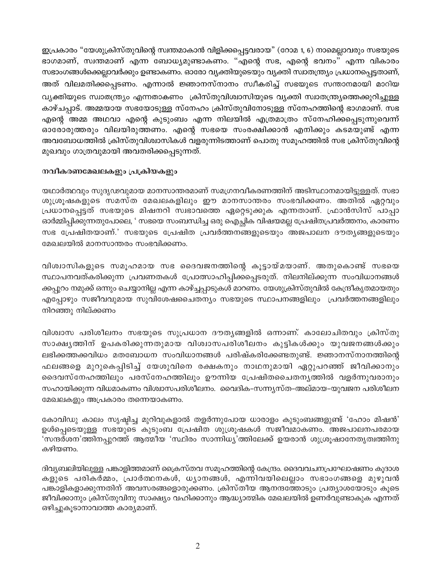ഇപ്രകാരം "യേശുക്രിസ്തുവിന്റെ സ്വന്തമാകാൻ വിളിക്കപ്പെട്ടവരായ" (റോമ 1, 6) നാമെല്ലാവരും സഭയുടെ ഭാഗമാണ്, സ്വന്തമാണ് എന്ന ബോധ്യമുണ്ടാകണം. "എന്റെ സഭ, എന്റെ ഭവനം" എന്ന വികാരം സഭാംഗങ്ങൾക്കെല്ലാവർക്കും ഉണ്ടാകണം. ഓരോ വ്യക്തിയുടെയും വ്യക്തി സ്വാതന്ത്ര്യം പ്രധാനപ്പെട്ടതാണ്, അത് വിലമതിക്കപ്പെടണം. എന്നാൽ ജ്ഞാനസ്നാനം സ്വീകരിച്ച് സഭയുടെ സന്താനമായി മാറിയ വ്യക്തിയുടെ സ്വാതന്ത്ര്യം എന്നതാകണം ക്രിസ്തുവിശ്വാസിയുടെ വ്യക്തി സ്വാതന്ത്ര്യത്തെക്കുറിച്ചുള്ള കാഴ്ചപ്പാട്. അമ്മയായ സഭയോടുള്ള സ്നേഹം ക്രിസ്തുവിനോടുള്ള സ്നേഹത്തിന്റെ ഭാഗമാണ്. സഭ എന്റെ അമ്മ അഥവാ എന്റെ കുടുംബം എന്ന നിലയിൽ എത്രമാത്രം സ്നേഹിക്കപ്പെടുന്നുവെന്ന് ഓരോരുത്തരും വിലയിരുത്തണം. എന്റെ സഭയെ സംരക്ഷിക്കാൻ എനിക്കും കടമയുണ്ട് എന്ന അവബോധത്തിൽ ക്രിസ്തുവിശ്വാസികൾ വളരുന്നിടത്താണ് പൊതു സമൂഹത്തിൽ സഭ ക്രിസ്തുവിന്റെ മുഖവും ഗാത്രവുമായി അവതരിക്കപ്പെടുന്നത്.

## നവീകരണമേഖലകളും പ്രക്രിയകളും

യഥാർത്ഥവും സുദൃഢവുമായ മാനസാന്തരമാണ് സമഗ്രനവീകരണത്തിന് അടിസ്ഥാനമായിട്ടുള്ളത്. സഭാ ശുശ്രൂഷകളുടെ സമസ്ത മേഖലകളിലും ഈ മാനസാന്തരം സംഭവിക്കണം. അതിൽ ഏറ്റവും പ്രധാനപ്പെട്ടത് സഭയുടെ മിഷനറി സ്വഭാവത്തെ ഏറ്റെടുക്കുക എന്നതാണ്. ഫ്രാൻസിസ് പാപ്പാ ഓർമ്മിപ്പിക്കുന്നതുപോലെ, ' സഭയെ സംബന്ധിച്ച ഒരു ഐച്ചിക വിഷയമല്ല പ്രേഷിതപ്രവർത്തനം, കാരണം സഭ പ്രേഷിതയാണ്.' സഭയുടെ പ്രേഷിത പ്രവർത്തനങ്ങളുടെയും അജപാലന ദൗതൃങ്ങളുടെയു<mark>ം</mark> മേഖലയിൽ മാനസാന്തരം സംഭവിക്കണം.

വിശ്വാസികളുടെ സമൂഹമായ സഭ ദൈവജനത്തിന്റെ കൂട്ടായ്മയാണ്. അതുകൊണ്ട് സഭയെ സ്ഥാപനവത്കരിക്കുന്ന പ്രവണതകൾ പ്രോത്സാഹിപ്പിക്കപ്പെടരുത്. നിലനില്ക്കുന്ന സംവിധാനങ്ങൾ ക്കപ്പുറം നമുക്ക് ഒന്നും ചെയ്യാനില്ല എന്ന കാഴ്ച്ചപ്പാടുകൾ മാറണം. യേശുക്രിസ്തു<mark>വി</mark>ൽ കേന്ദ്രീകൃതമായതും എപ്പോഴും സജീവവുമായ സുവിശേഷചൈതന്യം സഭയുടെ സ്ഥാപനങ്ങളിലും പ്രവർത്തനങ്ങളിലും നിറഞ്ഞു നില്ക്കണം

വിശ്വാസ പരിശീലനം സഭയുടെ സുപ്രധാന ദൗതൃങ്ങളിൽ ഒന്നാണ്. കാലോചിതവും ക്രിസ്തു സാക്ഷൃത്തിന് ഉപകരിക്കുന്നതുമായ വിശ<mark>്</mark>വാസപരിശീലനം കുട്ടികൾക്കും യുവജനങ്ങൾക്കും ലഭിക്കത്തക്കവിധം മതബോധന സംവിധാനങ്ങൾ പരിഷ്കരിക്കേണ്ടതുണ്ട്. ജ്ഞാനസ്നാനത്തിന്റെ ഫലങ്ങളെ മുറുകെപ്പിടിച്ച് യേശുവിനെ രക്ഷകനും നാഥനുമായി ഏറ്റുപറഞ്ഞ് ജീവിക്കാനും ദൈവസ്നേഹത്തിലും പരസ്നേഹത്തിലും ഊന്നിയ പ്രേഷിതചൈതനൃത്തിൽ വളർന്നുവരാനും സഹായിക്കുന്ന വിധമാകണം വിശ്വാസപരിശീലനം. വൈദിക–സന്ന്യസ്ത–അല്മായ–യുവജന പരിശീലന മേഖലകളും അപ്രകാരം തന്നെയാകണം.

കോവിഡു കാലം സൃഷ്ടിച്ച മുറിവുകളാൽ തളർന്നുപോയ ധാരാളം കുടുംബങ്ങളുണ്ട് 'ഹോം മിഷൻ' ഉൾപ്പെടെയുള്ള സഭയുടെ കുടുംബ പ്രേഷിത ശുശ്രൂഷകൾ സജീവമാകണം. അജപാലനപരമായ 'സന്ദർശന'ത്തിനപ്പുറത്ത് ആത്മീയ 'സ്ഥിരം സാന്നിധ്യ'ത്തിലേക്ക് ഉയരാൻ ശുശ്രൂഷാനേതൃത്വത്തിനു കഴിയണം.

ദിവ്യബലിയിലുള്ള പങ്കാളിത്തമാണ് ക്രൈസ്തവ സമൂഹത്തിന്റെ കേന്ദ്രം. ദൈവവചനപ്രഘോഷണം കുദാശ കളുടെ പരികർമ്മം, പ്രാർത്ഥനകൾ, ധ്യാനങ്ങൾ, എന്നിവയിലെല്ലാം സഭാംഗങ്ങളെ മുഴുവൻ പങ്കാളികളാക്കുന്നതിന് അവസരങ്ങളൊരുക്കണം. ക്രിസ്തീയ ആനന്ദത്തോടും പ്രത്യാശയോടും കൂടെ ജീവിക്കാനും ക്രിസ്തുവിനു സാക്ഷ്യം വഹിക്കാനും ആദ്ധ്യാത്മിക മേഖലയിൽ ഉണർവുണ്ടാകുക എന്നത് ഒഴിച്ചുകൂടാനാവാത്ത കാര്യമാണ്.